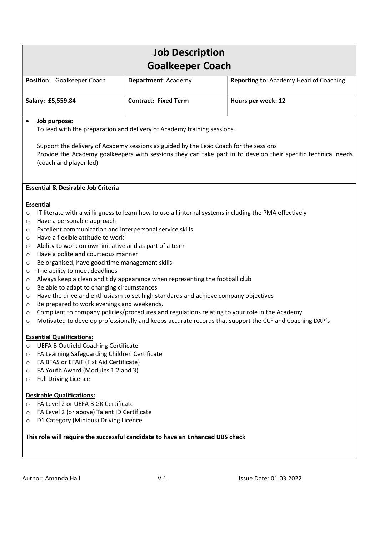|                                                                                                                                                                                                                                                                                                                                                                                                                                                                                                                                                      | <b>Job Description</b>                                                                                                                                            |                                                                                                                                                                                                                                                                                                                  |
|------------------------------------------------------------------------------------------------------------------------------------------------------------------------------------------------------------------------------------------------------------------------------------------------------------------------------------------------------------------------------------------------------------------------------------------------------------------------------------------------------------------------------------------------------|-------------------------------------------------------------------------------------------------------------------------------------------------------------------|------------------------------------------------------------------------------------------------------------------------------------------------------------------------------------------------------------------------------------------------------------------------------------------------------------------|
| <b>Goalkeeper Coach</b>                                                                                                                                                                                                                                                                                                                                                                                                                                                                                                                              |                                                                                                                                                                   |                                                                                                                                                                                                                                                                                                                  |
| Position: Goalkeeper Coach                                                                                                                                                                                                                                                                                                                                                                                                                                                                                                                           | Department: Academy                                                                                                                                               | Reporting to: Academy Head of Coaching                                                                                                                                                                                                                                                                           |
| Salary: £5,559.84                                                                                                                                                                                                                                                                                                                                                                                                                                                                                                                                    | <b>Contract: Fixed Term</b>                                                                                                                                       | Hours per week: 12                                                                                                                                                                                                                                                                                               |
| Job purpose:<br>$\bullet$                                                                                                                                                                                                                                                                                                                                                                                                                                                                                                                            | To lead with the preparation and delivery of Academy training sessions.                                                                                           |                                                                                                                                                                                                                                                                                                                  |
| (coach and player led)                                                                                                                                                                                                                                                                                                                                                                                                                                                                                                                               | Support the delivery of Academy sessions as guided by the Lead Coach for the sessions                                                                             | Provide the Academy goalkeepers with sessions they can take part in to develop their specific technical needs                                                                                                                                                                                                    |
| <b>Essential &amp; Desirable Job Criteria</b>                                                                                                                                                                                                                                                                                                                                                                                                                                                                                                        |                                                                                                                                                                   |                                                                                                                                                                                                                                                                                                                  |
| <b>Essential</b><br>$\circ$<br>Have a personable approach<br>$\circ$<br>Excellent communication and interpersonal service skills<br>O<br>Have a flexible attitude to work<br>$\circ$<br>Ability to work on own initiative and as part of a team<br>O<br>Have a polite and courteous manner<br>$\circ$<br>Be organised, have good time management skills<br>$\circ$<br>The ability to meet deadlines<br>O<br>$\circ$<br>Be able to adapt to changing circumstances<br>O<br>O<br>Be prepared to work evenings and weekends.<br>$\circ$<br>$\circ$<br>O | Always keep a clean and tidy appearance when representing the football club<br>Have the drive and enthusiasm to set high standards and achieve company objectives | IT literate with a willingness to learn how to use all internal systems including the PMA effectively<br>Compliant to company policies/procedures and regulations relating to your role in the Academy<br>Motivated to develop professionally and keeps accurate records that support the CCF and Coaching DAP's |
| <b>Essential Qualifications:</b><br><b>UEFA B Outfield Coaching Certificate</b><br>$\circ$<br>FA Learning Safeguarding Children Certificate<br>$\circ$<br>FA BFAS or EFAIF (Fist Aid Certificate)<br>$\circ$<br>FA Youth Award (Modules 1,2 and 3)<br>$\circ$<br><b>Full Driving Licence</b><br>$\circ$                                                                                                                                                                                                                                              |                                                                                                                                                                   |                                                                                                                                                                                                                                                                                                                  |
| <b>Desirable Qualifications:</b><br>FA Level 2 or UEFA B GK Certificate<br>$\circ$<br>FA Level 2 (or above) Talent ID Certificate<br>$\circ$<br>D1 Category (Minibus) Driving Licence<br>$\circ$                                                                                                                                                                                                                                                                                                                                                     |                                                                                                                                                                   |                                                                                                                                                                                                                                                                                                                  |
| This role will require the successful candidate to have an Enhanced DBS check                                                                                                                                                                                                                                                                                                                                                                                                                                                                        |                                                                                                                                                                   |                                                                                                                                                                                                                                                                                                                  |
|                                                                                                                                                                                                                                                                                                                                                                                                                                                                                                                                                      |                                                                                                                                                                   |                                                                                                                                                                                                                                                                                                                  |